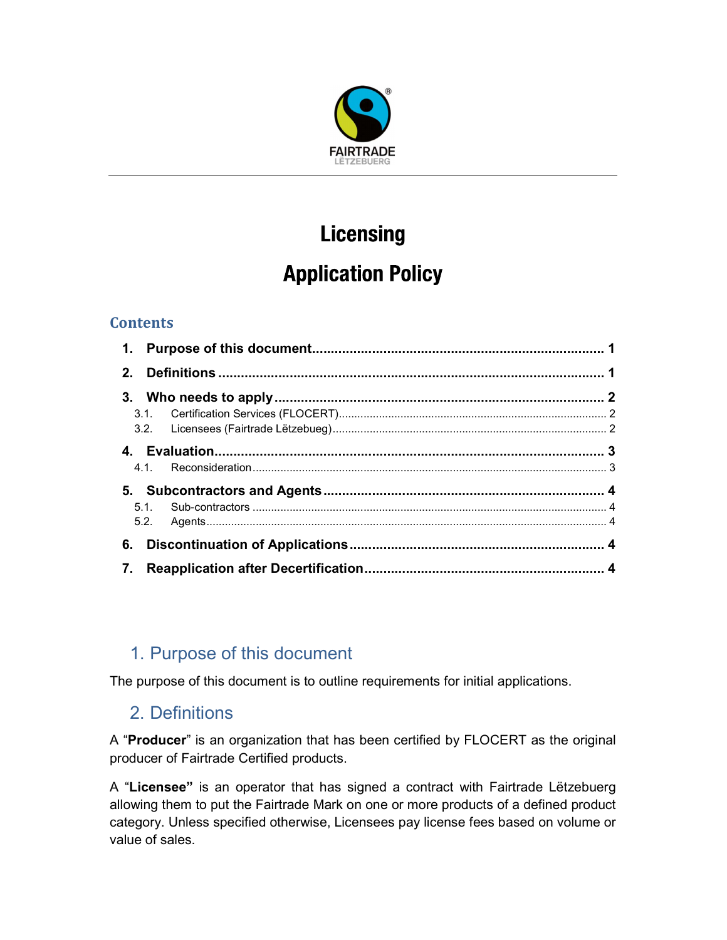

# **Licensing**

# **Application Policy**

## **Contents**

| 4.1. |  |
|------|--|
|      |  |
| 5.1. |  |
| 5.2. |  |
|      |  |
|      |  |

# 1. Purpose of this document

The purpose of this document is to outline requirements for initial applications.

## 2. Definitions

A "Producer" is an organization that has been certified by FLOCERT as the original producer of Fairtrade Certified products.

A "Licensee" is an operator that has signed a contract with Fairtrade Lëtzebuerg allowing them to put the Fairtrade Mark on one or more products of a defined product category. Unless specified otherwise, Licensees pay license fees based on volume or value of sales.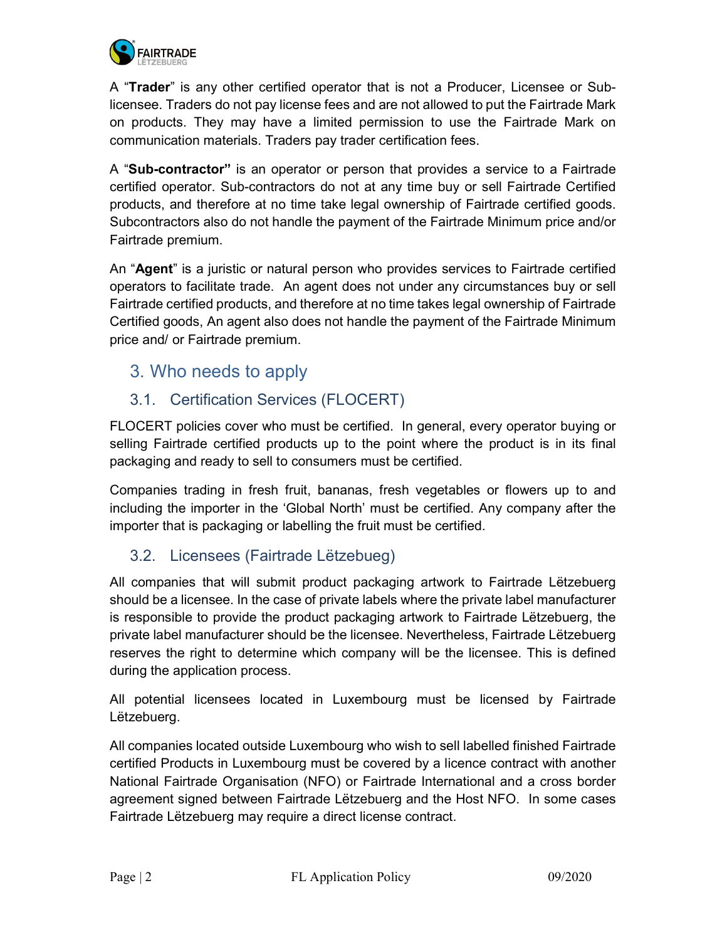

A "Trader" is any other certified operator that is not a Producer, Licensee or Sublicensee. Traders do not pay license fees and are not allowed to put the Fairtrade Mark on products. They may have a limited permission to use the Fairtrade Mark on communication materials. Traders pay trader certification fees.

A "Sub-contractor" is an operator or person that provides a service to a Fairtrade certified operator. Sub-contractors do not at any time buy or sell Fairtrade Certified products, and therefore at no time take legal ownership of Fairtrade certified goods. Subcontractors also do not handle the payment of the Fairtrade Minimum price and/or Fairtrade premium.

An "Agent" is a juristic or natural person who provides services to Fairtrade certified operators to facilitate trade. An agent does not under any circumstances buy or sell Fairtrade certified products, and therefore at no time takes legal ownership of Fairtrade Certified goods, An agent also does not handle the payment of the Fairtrade Minimum price and/ or Fairtrade premium.

## 3. Who needs to apply

## 3.1. Certification Services (FLOCERT)

FLOCERT policies cover who must be certified. In general, every operator buying or selling Fairtrade certified products up to the point where the product is in its final packaging and ready to sell to consumers must be certified.

Companies trading in fresh fruit, bananas, fresh vegetables or flowers up to and including the importer in the 'Global North' must be certified. Any company after the importer that is packaging or labelling the fruit must be certified.

## 3.2. Licensees (Fairtrade Lëtzebueg)

All companies that will submit product packaging artwork to Fairtrade Lëtzebuerg should be a licensee. In the case of private labels where the private label manufacturer is responsible to provide the product packaging artwork to Fairtrade Lëtzebuerg, the private label manufacturer should be the licensee. Nevertheless, Fairtrade Lëtzebuerg reserves the right to determine which company will be the licensee. This is defined during the application process.

All potential licensees located in Luxembourg must be licensed by Fairtrade Lëtzebuerg.

All companies located outside Luxembourg who wish to sell labelled finished Fairtrade certified Products in Luxembourg must be covered by a licence contract with another National Fairtrade Organisation (NFO) or Fairtrade International and a cross border agreement signed between Fairtrade Lëtzebuerg and the Host NFO. In some cases Fairtrade Lëtzebuerg may require a direct license contract.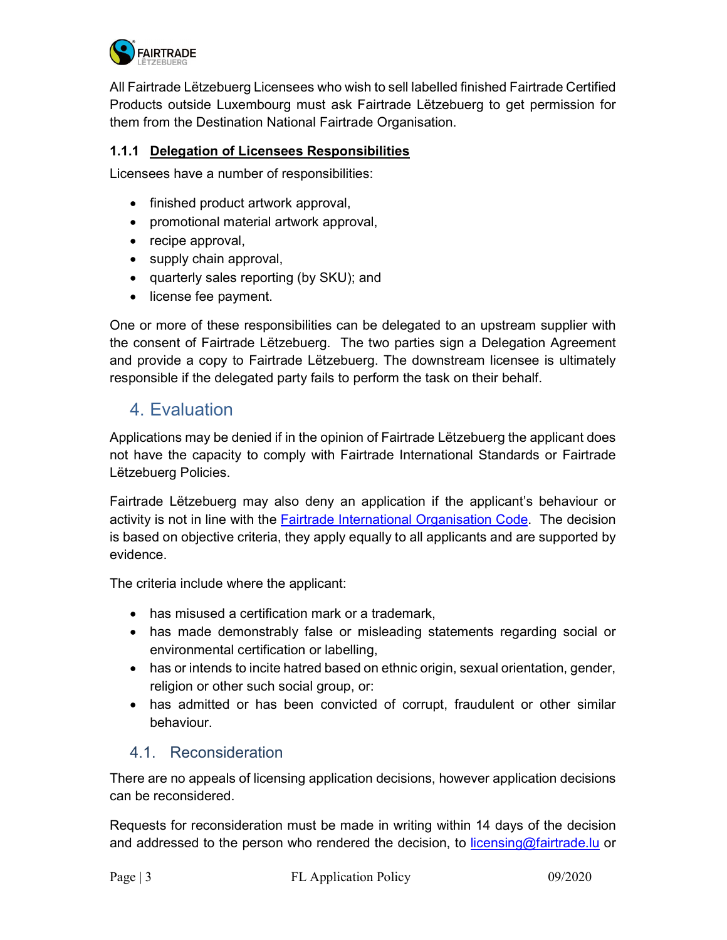

All Fairtrade Lëtzebuerg Licensees who wish to sell labelled finished Fairtrade Certified Products outside Luxembourg must ask Fairtrade Lëtzebuerg to get permission for them from the Destination National Fairtrade Organisation.

#### 1.1.1 Delegation of Licensees Responsibilities

Licensees have a number of responsibilities:

- finished product artwork approval,
- promotional material artwork approval,
- $\bullet$  recipe approval,
- supply chain approval,
- quarterly sales reporting (by SKU); and
- license fee payment.

One or more of these responsibilities can be delegated to an upstream supplier with the consent of Fairtrade Lëtzebuerg. The two parties sign a Delegation Agreement and provide a copy to Fairtrade Lëtzebuerg. The downstream licensee is ultimately responsible if the delegated party fails to perform the task on their behalf.

## 4. Evaluation

Applications may be denied if in the opinion of Fairtrade Lëtzebuerg the applicant does not have the capacity to comply with Fairtrade International Standards or Fairtrade Lëtzebuerg Policies.

Fairtrade Lëtzebuerg may also deny an application if the applicant's behaviour or activity is not in line with the Fairtrade International Organisation Code. The decision is based on objective criteria, they apply equally to all applicants and are supported by evidence.

The criteria include where the applicant:

- has misused a certification mark or a trademark,
- has made demonstrably false or misleading statements regarding social or environmental certification or labelling,
- has or intends to incite hatred based on ethnic origin, sexual orientation, gender, religion or other such social group, or:
- has admitted or has been convicted of corrupt, fraudulent or other similar behaviour.

#### 4.1. Reconsideration

There are no appeals of licensing application decisions, however application decisions can be reconsidered.

Requests for reconsideration must be made in writing within 14 days of the decision and addressed to the person who rendered the decision, to licensing@fairtrade.lu or